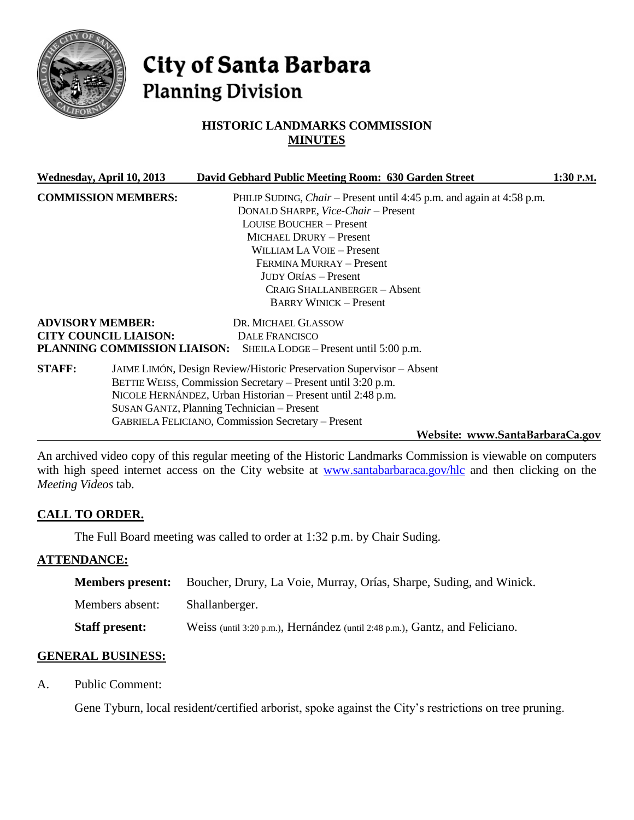

# City of Santa Barbara **Planning Division**

# **HISTORIC LANDMARKS COMMISSION MINUTES**

| Wednesday, April 10, 2013 |                              | David Gebhard Public Meeting Room: 630 Garden Street                                                                | 1:30 P.M. |
|---------------------------|------------------------------|---------------------------------------------------------------------------------------------------------------------|-----------|
|                           | <b>COMMISSION MEMBERS:</b>   | PHILIP SUDING, <i>Chair</i> – Present until 4:45 p.m. and again at 4:58 p.m.<br>DONALD SHARPE, Vice-Chair - Present |           |
|                           |                              | <b>LOUISE BOUCHER – Present</b>                                                                                     |           |
|                           |                              | MICHAEL DRURY - Present                                                                                             |           |
|                           |                              | WILLIAM LA VOIE – Present                                                                                           |           |
|                           |                              | FERMINA MURRAY - Present                                                                                            |           |
|                           |                              | <b>JUDY ORÍAS – Present</b>                                                                                         |           |
|                           |                              | CRAIG SHALLANBERGER - Absent                                                                                        |           |
|                           |                              | <b>BARRY WINICK - Present</b>                                                                                       |           |
| <b>ADVISORY MEMBER:</b>   |                              | DR. MICHAEL GLASSOW                                                                                                 |           |
|                           | <b>CITY COUNCIL LIAISON:</b> | <b>DALE FRANCISCO</b>                                                                                               |           |
|                           | PLANNING COMMISSION LIAISON: | SHEILA LODGE – Present until 5:00 p.m.                                                                              |           |
| <b>STAFF:</b>             |                              | JAIME LIMÓN, Design Review/Historic Preservation Supervisor - Absent                                                |           |
|                           |                              | BETTIE WEISS, Commission Secretary – Present until 3:20 p.m.                                                        |           |
|                           |                              | NICOLE HERNÁNDEZ, Urban Historian - Present until 2:48 p.m.                                                         |           |
|                           |                              | SUSAN GANTZ, Planning Technician - Present                                                                          |           |
|                           |                              | <b>GABRIELA FELICIANO, Commission Secretary – Present</b>                                                           |           |
|                           |                              | Website: www.SantaBarbaraCa.gov                                                                                     |           |

An archived video copy of this regular meeting of the Historic Landmarks Commission is viewable on computers with high speed internet access on the City website at [www.santabarbaraca.gov/hlc](http://www.santabarbaraca.gov/hlc) and then clicking on the *Meeting Videos* tab.

# **CALL TO ORDER.**

The Full Board meeting was called to order at 1:32 p.m. by Chair Suding.

# **ATTENDANCE:**

| <b>Members present:</b> | Boucher, Drury, La Voie, Murray, Orías, Sharpe, Suding, and Winick.         |
|-------------------------|-----------------------------------------------------------------------------|
| Members absent:         | Shallanberger.                                                              |
| <b>Staff present:</b>   | Weiss (until 3:20 p.m.), Hernández (until 2:48 p.m.), Gantz, and Feliciano. |

# **GENERAL BUSINESS:**

A. Public Comment:

Gene Tyburn, local resident/certified arborist, spoke against the City's restrictions on tree pruning.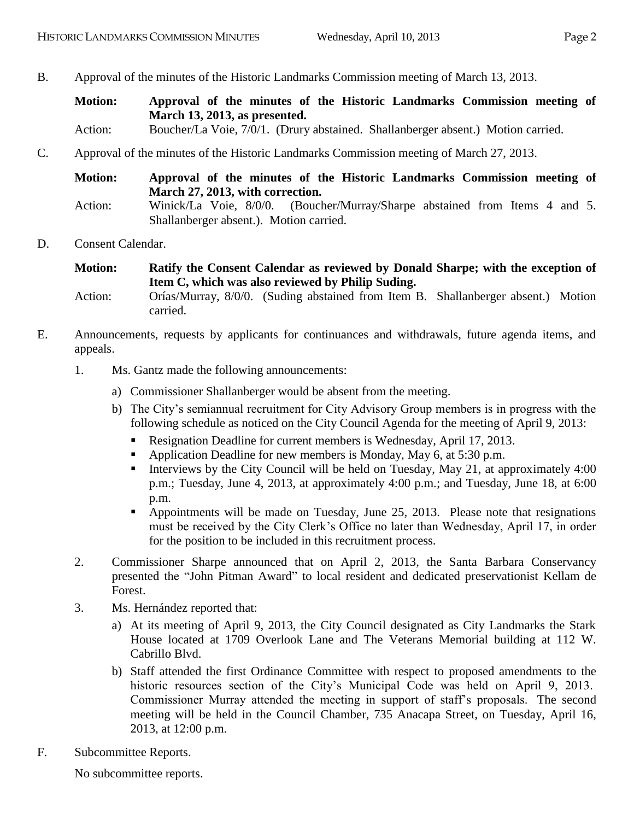B. Approval of the minutes of the Historic Landmarks Commission meeting of March 13, 2013.

**Motion: Approval of the minutes of the Historic Landmarks Commission meeting of March 13, 2013, as presented.**

Action: Boucher/La Voie, 7/0/1. (Drury abstained. Shallanberger absent.) Motion carried.

C. Approval of the minutes of the Historic Landmarks Commission meeting of March 27, 2013.

| <b>Motion:</b> | Approval of the minutes of the Historic Landmarks Commission meeting of |  |  |  |  |
|----------------|-------------------------------------------------------------------------|--|--|--|--|
|                | March 27, 2013, with correction.                                        |  |  |  |  |

- Action: Winick/La Voie, 8/0/0. (Boucher/Murray/Sharpe abstained from Items 4 and 5. Shallanberger absent.). Motion carried.
- D. Consent Calendar.

**Motion: Ratify the Consent Calendar as reviewed by Donald Sharpe; with the exception of Item C, which was also reviewed by Philip Suding.**

- Action: Orías/Murray, 8/0/0. (Suding abstained from Item B. Shallanberger absent.) Motion carried.
- E. Announcements, requests by applicants for continuances and withdrawals, future agenda items, and appeals.
	- 1. Ms. Gantz made the following announcements:
		- a) Commissioner Shallanberger would be absent from the meeting.
		- b) The City's semiannual recruitment for City Advisory Group members is in progress with the following schedule as noticed on the City Council Agenda for the meeting of April 9, 2013:
			- Resignation Deadline for current members is Wednesday, April 17, 2013.
			- Application Deadline for new members is Monday, May 6, at 5:30 p.m.
			- Interviews by the City Council will be held on Tuesday, May 21, at approximately  $4:00$ p.m.; Tuesday, June 4, 2013, at approximately 4:00 p.m.; and Tuesday, June 18, at 6:00 p.m.
			- Appointments will be made on Tuesday, June 25, 2013. Please note that resignations must be received by the City Clerk's Office no later than Wednesday, April 17, in order for the position to be included in this recruitment process.
	- 2. Commissioner Sharpe announced that on April 2, 2013, the Santa Barbara Conservancy presented the "John Pitman Award" to local resident and dedicated preservationist Kellam de Forest.
	- 3. Ms. Hernández reported that:
		- a) At its meeting of April 9, 2013, the City Council designated as City Landmarks the Stark House located at 1709 Overlook Lane and The Veterans Memorial building at 112 W. Cabrillo Blvd.
		- b) Staff attended the first Ordinance Committee with respect to proposed amendments to the historic resources section of the City's Municipal Code was held on April 9, 2013. Commissioner Murray attended the meeting in support of staff's proposals. The second meeting will be held in the Council Chamber, 735 Anacapa Street, on Tuesday, April 16, 2013, at 12:00 p.m.
- F. Subcommittee Reports.

No subcommittee reports.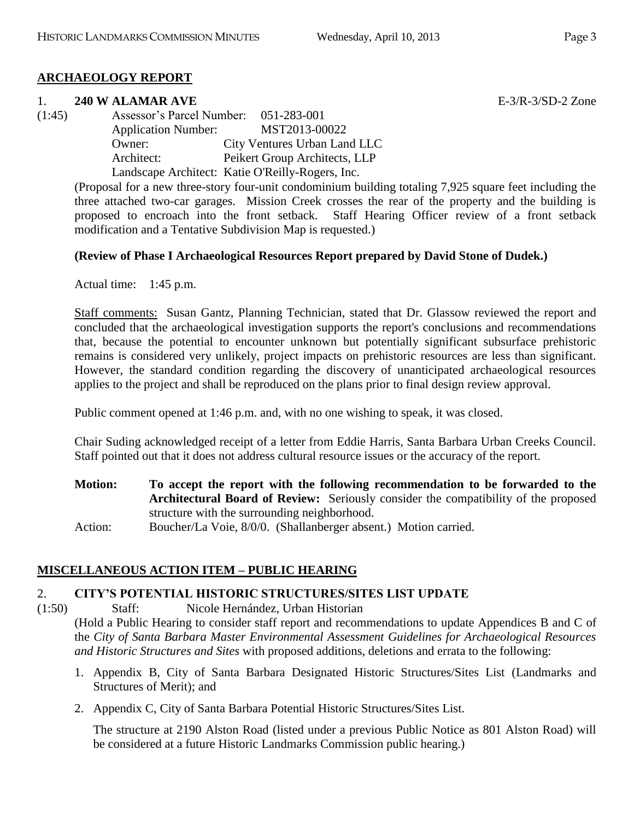# **ARCHAEOLOGY REPORT**

# 1. **240 W ALAMAR AVE** E-3/R-3/SD-2 Zone

(1:45) Assessor's Parcel Number: 051-283-001 Application Number: MST2013-00022 Owner: City Ventures Urban Land LLC Architect: Peikert Group Architects, LLP Landscape Architect: Katie O'Reilly-Rogers, Inc.

> (Proposal for a new three-story four-unit condominium building totaling 7,925 square feet including the three attached two-car garages. Mission Creek crosses the rear of the property and the building is proposed to encroach into the front setback. Staff Hearing Officer review of a front setback modification and a Tentative Subdivision Map is requested.)

# **(Review of Phase I Archaeological Resources Report prepared by David Stone of Dudek.)**

Actual time: 1:45 p.m.

Staff comments: Susan Gantz, Planning Technician, stated that Dr. Glassow reviewed the report and concluded that the archaeological investigation supports the report's conclusions and recommendations that, because the potential to encounter unknown but potentially significant subsurface prehistoric remains is considered very unlikely, project impacts on prehistoric resources are less than significant. However, the standard condition regarding the discovery of unanticipated archaeological resources applies to the project and shall be reproduced on the plans prior to final design review approval.

Public comment opened at 1:46 p.m. and, with no one wishing to speak, it was closed.

Chair Suding acknowledged receipt of a letter from Eddie Harris, Santa Barbara Urban Creeks Council. Staff pointed out that it does not address cultural resource issues or the accuracy of the report.

**Motion: To accept the report with the following recommendation to be forwarded to the Architectural Board of Review:** Seriously consider the compatibility of the proposed structure with the surrounding neighborhood.

Action: Boucher/La Voie, 8/0/0. (Shallanberger absent.) Motion carried.

# **MISCELLANEOUS ACTION ITEM – PUBLIC HEARING**

# 2. **CITY'S POTENTIAL HISTORIC STRUCTURES/SITES LIST UPDATE**

(1:50) Staff: Nicole Hernández, Urban Historian

(Hold a Public Hearing to consider staff report and recommendations to update Appendices B and C of the *City of Santa Barbara Master Environmental Assessment Guidelines for Archaeological Resources and Historic Structures and Sites* with proposed additions, deletions and errata to the following:

- 1. Appendix B, City of Santa Barbara Designated Historic Structures/Sites List (Landmarks and Structures of Merit); and
- 2. Appendix C, City of Santa Barbara Potential Historic Structures/Sites List.

The structure at 2190 Alston Road (listed under a previous Public Notice as 801 Alston Road) will be considered at a future Historic Landmarks Commission public hearing.)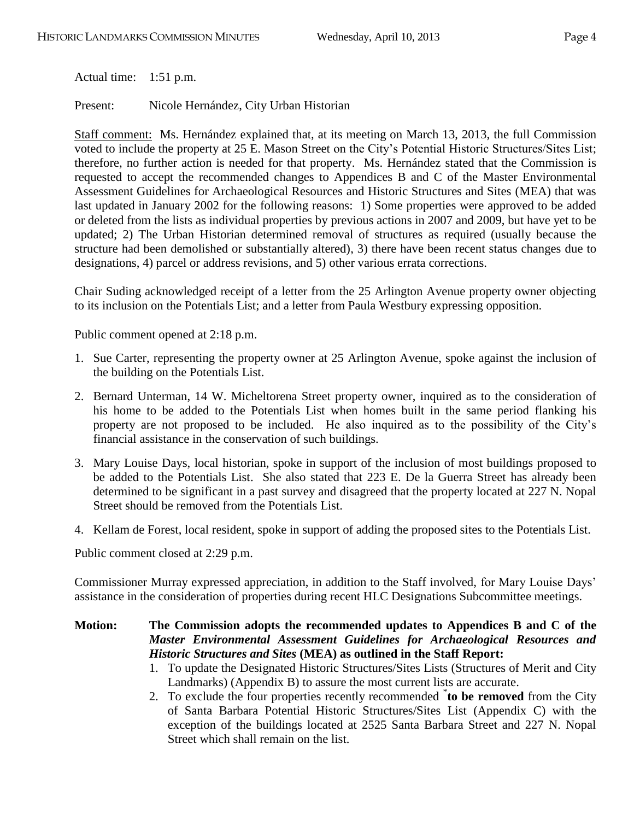Actual time: 1:51 p.m.

Present: Nicole Hernández, City Urban Historian

Staff comment: Ms. Hernández explained that, at its meeting on March 13, 2013, the full Commission voted to include the property at 25 E. Mason Street on the City's Potential Historic Structures/Sites List; therefore, no further action is needed for that property. Ms. Hernández stated that the Commission is requested to accept the recommended changes to Appendices B and C of the Master Environmental Assessment Guidelines for Archaeological Resources and Historic Structures and Sites (MEA) that was last updated in January 2002 for the following reasons: 1) Some properties were approved to be added or deleted from the lists as individual properties by previous actions in 2007 and 2009, but have yet to be updated; 2) The Urban Historian determined removal of structures as required (usually because the structure had been demolished or substantially altered), 3) there have been recent status changes due to designations, 4) parcel or address revisions, and 5) other various errata corrections.

Chair Suding acknowledged receipt of a letter from the 25 Arlington Avenue property owner objecting to its inclusion on the Potentials List; and a letter from Paula Westbury expressing opposition.

Public comment opened at 2:18 p.m.

- 1. Sue Carter, representing the property owner at 25 Arlington Avenue, spoke against the inclusion of the building on the Potentials List.
- 2. Bernard Unterman, 14 W. Micheltorena Street property owner, inquired as to the consideration of his home to be added to the Potentials List when homes built in the same period flanking his property are not proposed to be included. He also inquired as to the possibility of the City's financial assistance in the conservation of such buildings.
- 3. Mary Louise Days, local historian, spoke in support of the inclusion of most buildings proposed to be added to the Potentials List. She also stated that 223 E. De la Guerra Street has already been determined to be significant in a past survey and disagreed that the property located at 227 N. Nopal Street should be removed from the Potentials List.
- 4. Kellam de Forest, local resident, spoke in support of adding the proposed sites to the Potentials List.

Public comment closed at 2:29 p.m.

Commissioner Murray expressed appreciation, in addition to the Staff involved, for Mary Louise Days' assistance in the consideration of properties during recent HLC Designations Subcommittee meetings.

**Motion: The Commission adopts the recommended updates to Appendices B and C of the**  *Master Environmental Assessment Guidelines for Archaeological Resources and Historic Structures and Sites* **(MEA) as outlined in the Staff Report:**

- 1. To update the Designated Historic Structures/Sites Lists (Structures of Merit and City Landmarks) (Appendix B) to assure the most current lists are accurate.
- 2. To exclude the four properties recently recommended \* **to be removed** from the City of Santa Barbara Potential Historic Structures/Sites List (Appendix C) with the exception of the buildings located at 2525 Santa Barbara Street and 227 N. Nopal Street which shall remain on the list.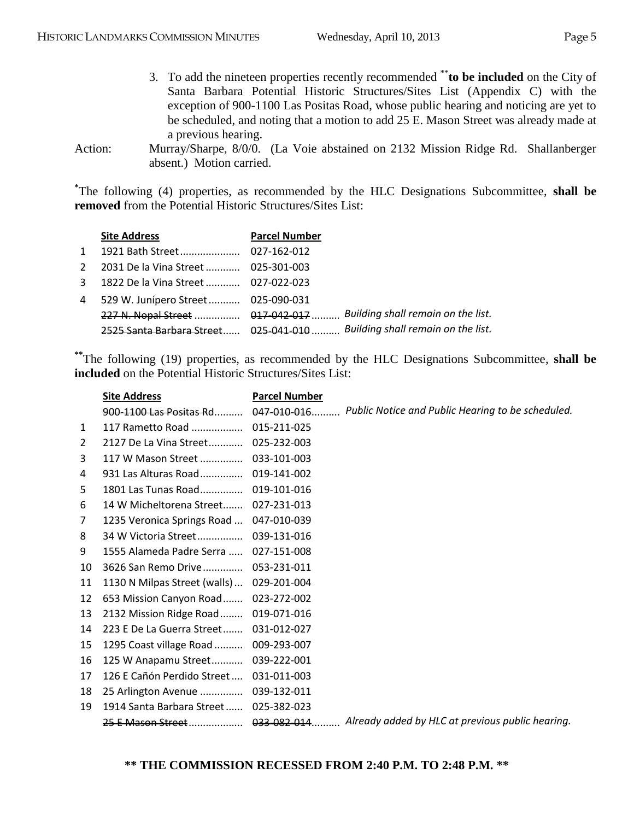- 3. To add the nineteen properties recently recommended \*\* **to be included** on the City of Santa Barbara Potential Historic Structures/Sites List (Appendix C) with the exception of 900-1100 Las Positas Road, whose public hearing and noticing are yet to be scheduled, and noting that a motion to add 25 E. Mason Street was already made at a previous hearing.
- Action: Murray/Sharpe, 8/0/0. (La Voie abstained on 2132 Mission Ridge Rd. Shallanberger absent.) Motion carried.

**\*** The following (4) properties, as recommended by the HLC Designations Subcommittee, **shall be removed** from the Potential Historic Structures/Sites List:

|              | <b>Site Address</b>                  | <b>Parcel Number</b>                                                      |
|--------------|--------------------------------------|---------------------------------------------------------------------------|
|              | 1 1921 Bath Street 027-162-012       |                                                                           |
| $2^{\circ}$  | 2031 De la Vina Street  025-301-003  |                                                                           |
| $\mathbf{3}$ | 1822 De la Vina Street  027-022-023  |                                                                           |
|              | 4 529 W. Junípero Street 025-090-031 |                                                                           |
|              | 227 N. Nopal Street  017-042-017     | Building shall remain on the list.                                        |
|              |                                      | 2525 Santa Barbara Street 025-041-010  Building shall remain on the list. |

**\*\*** The following (19) properties, as recommended by the HLC Designations Subcommittee, **shall be included** on the Potential Historic Structures/Sites List:

|    | <b>Site Address</b>                       | <b>Parcel Number</b>                                                            |
|----|-------------------------------------------|---------------------------------------------------------------------------------|
|    | 900-1100 Las Positas Rd                   | Public Notice and Public Hearing to be scheduled.<br>047-010-016                |
| 1  | 117 Rametto Road  015-211-025             |                                                                                 |
| 2  | 2127 De La Vina Street 025-232-003        |                                                                                 |
| 3  | 117 W Mason Street  033-101-003           |                                                                                 |
| 4  | 931 Las Alturas Road 019-141-002          |                                                                                 |
| 5  | 1801 Las Tunas Road 019-101-016           |                                                                                 |
| 6  | 14 W Micheltorena Street 027-231-013      |                                                                                 |
| 7  | 1235 Veronica Springs Road  047-010-039   |                                                                                 |
| 8  | 34 W Victoria Street 039-131-016          |                                                                                 |
| 9  | 1555 Alameda Padre Serra  027-151-008     |                                                                                 |
| 10 | 3626 San Remo Drive 053-231-011           |                                                                                 |
| 11 | 1130 N Milpas Street (walls)  029-201-004 |                                                                                 |
| 12 | 653 Mission Canyon Road 023-272-002       |                                                                                 |
| 13 | 2132 Mission Ridge Road 019-071-016       |                                                                                 |
| 14 | 223 E De La Guerra Street 031-012-027     |                                                                                 |
| 15 | 1295 Coast village Road  009-293-007      |                                                                                 |
| 16 | 125 W Anapamu Street 039-222-001          |                                                                                 |
| 17 | 126 E Cañón Perdido Street 031-011-003    |                                                                                 |
| 18 | 25 Arlington Avenue  039-132-011          |                                                                                 |
| 19 | 1914 Santa Barbara Street 025-382-023     |                                                                                 |
|    |                                           | 25 E Mason Street  033-082-014 Already added by HLC at previous public hearing. |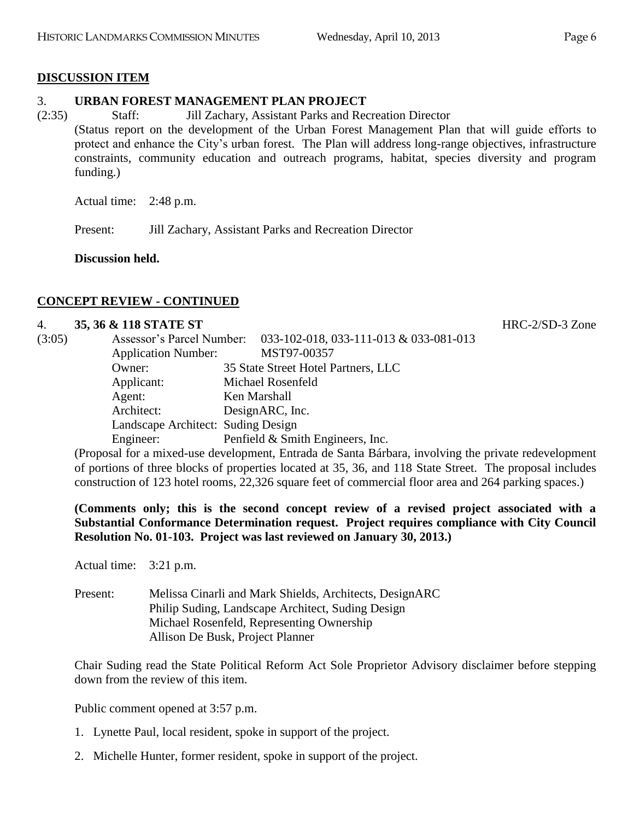# **DISCUSSION ITEM**

# 3. **URBAN FOREST MANAGEMENT PLAN PROJECT**

(2:35) Staff: Jill Zachary, Assistant Parks and Recreation Director (Status report on the development of the Urban Forest Management Plan that will guide efforts to protect and enhance the City's urban forest. The Plan will address long-range objectives, infrastructure constraints, community education and outreach programs, habitat, species diversity and program funding.)

Actual time: 2:48 p.m.

Present: Jill Zachary, Assistant Parks and Recreation Director

**Discussion held.**

# **CONCEPT REVIEW - CONTINUED**

#### 4. **35, 36 & 118 STATE ST** HRC-2/SD-3 Zone

| $\frac{1}{2}$ |                                                                  |
|---------------|------------------------------------------------------------------|
|               | Assessor's Parcel Number: 033-102-018, 033-111-013 & 033-081-013 |
|               | MST97-00357                                                      |
| Owner:        | 35 State Street Hotel Partners, LLC                              |
| Applicant:    | Michael Rosenfeld                                                |
| Agent:        | Ken Marshall                                                     |
| Architect:    | DesignARC, Inc.                                                  |
|               |                                                                  |
| Engineer:     | Penfield & Smith Engineers, Inc.                                 |
|               | <b>Application Number:</b><br>Landscape Architect: Suding Design |

(Proposal for a mixed-use development, Entrada de Santa Bárbara, involving the private redevelopment of portions of three blocks of properties located at 35, 36, and 118 State Street. The proposal includes construction of 123 hotel rooms, 22,326 square feet of commercial floor area and 264 parking spaces.)

**(Comments only; this is the second concept review of a revised project associated with a Substantial Conformance Determination request. Project requires compliance with City Council Resolution No. 01-103. Project was last reviewed on January 30, 2013.)**

Actual time: 3:21 p.m.

Present: Melissa Cinarli and Mark Shields, Architects, DesignARC Philip Suding, Landscape Architect, Suding Design Michael Rosenfeld, Representing Ownership Allison De Busk, Project Planner

Chair Suding read the State Political Reform Act Sole Proprietor Advisory disclaimer before stepping down from the review of this item.

Public comment opened at 3:57 p.m.

- 1. Lynette Paul, local resident, spoke in support of the project.
- 2. Michelle Hunter, former resident, spoke in support of the project.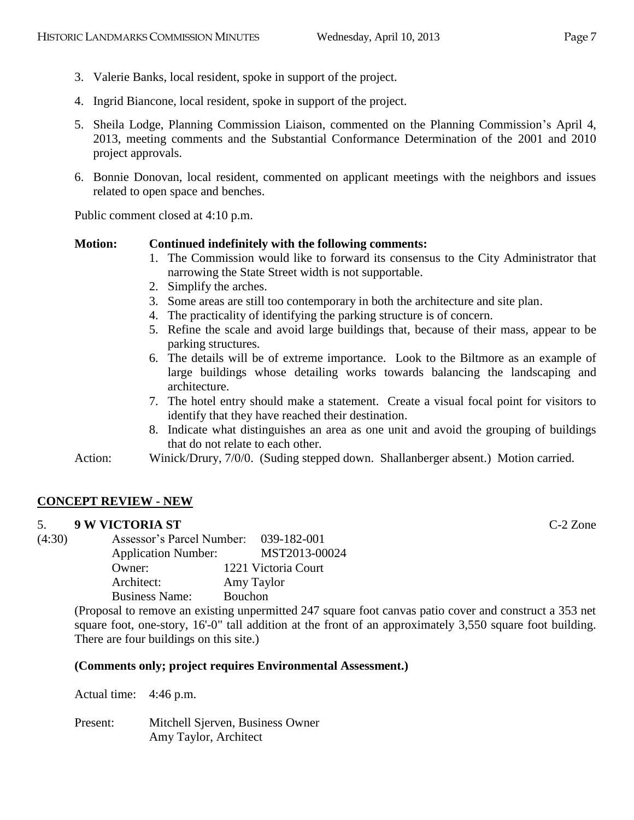- 3. Valerie Banks, local resident, spoke in support of the project.
- 4. Ingrid Biancone, local resident, spoke in support of the project.
- 5. Sheila Lodge, Planning Commission Liaison, commented on the Planning Commission's April 4, 2013, meeting comments and the Substantial Conformance Determination of the 2001 and 2010 project approvals.
- 6. Bonnie Donovan, local resident, commented on applicant meetings with the neighbors and issues related to open space and benches.

Public comment closed at 4:10 p.m.

# **Motion: Continued indefinitely with the following comments:**

- 1. The Commission would like to forward its consensus to the City Administrator that narrowing the State Street width is not supportable.
- 2. Simplify the arches.
- 3. Some areas are still too contemporary in both the architecture and site plan.
- 4. The practicality of identifying the parking structure is of concern.
- 5. Refine the scale and avoid large buildings that, because of their mass, appear to be parking structures.
- 6. The details will be of extreme importance. Look to the Biltmore as an example of large buildings whose detailing works towards balancing the landscaping and architecture.
- 7. The hotel entry should make a statement. Create a visual focal point for visitors to identify that they have reached their destination.
- 8. Indicate what distinguishes an area as one unit and avoid the grouping of buildings that do not relate to each other.
- Action: Winick/Drury, 7/0/0. (Suding stepped down. Shallanberger absent.) Motion carried.

# **CONCEPT REVIEW - NEW**

#### 5. **9 W VICTORIA ST** C-2 Zone

(4:30) Assessor's Parcel Number: 039-182-001 Application Number: MST2013-00024 Owner: 1221 Victoria Court Architect: Amy Taylor Business Name: Bouchon

(Proposal to remove an existing unpermitted 247 square foot canvas patio cover and construct a 353 net square foot, one-story, 16'-0" tall addition at the front of an approximately 3,550 square foot building. There are four buildings on this site.)

#### **(Comments only; project requires Environmental Assessment.)**

Actual time: 4:46 p.m.

Present: Mitchell Sjerven, Business Owner Amy Taylor, Architect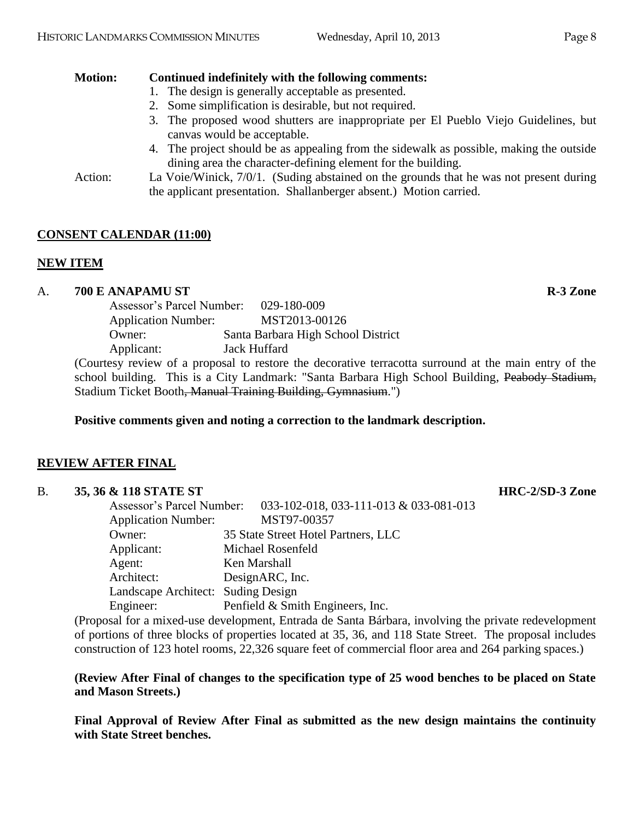# **Motion: Continued indefinitely with the following comments:**

- 1. The design is generally acceptable as presented.
- 2. Some simplification is desirable, but not required.
- 3. The proposed wood shutters are inappropriate per El Pueblo Viejo Guidelines, but canvas would be acceptable.
- 4. The project should be as appealing from the sidewalk as possible, making the outside dining area the character-defining element for the building.
- Action: La Voie/Winick, 7/0/1. (Suding abstained on the grounds that he was not present during the applicant presentation. Shallanberger absent.) Motion carried.

# **CONSENT CALENDAR (11:00)**

# **NEW ITEM**

# A. **700 E ANAPAMU ST R-3 Zone**

| Assessor's Parcel Number:  | 029-180-009                        |
|----------------------------|------------------------------------|
| <b>Application Number:</b> | MST2013-00126                      |
| Owner:                     | Santa Barbara High School District |
| Applicant:                 | Jack Huffard                       |
|                            |                                    |

(Courtesy review of a proposal to restore the decorative terracotta surround at the main entry of the school building. This is a City Landmark: "Santa Barbara High School Building, Peabody Stadium, Stadium Ticket Booth, Manual Training Building, Gymnasium.")

**Positive comments given and noting a correction to the landmark description.**

# **REVIEW AFTER FINAL**

#### B. **35, 36 & 118 STATE ST HRC-2/SD-3 Zone**

|  |                                    | Assessor's Parcel Number: 033-102-018, 033-111-013 & 033-081-013 |
|--|------------------------------------|------------------------------------------------------------------|
|  | <b>Application Number:</b>         | MST97-00357                                                      |
|  | Owner:                             | 35 State Street Hotel Partners, LLC                              |
|  | Applicant:                         | Michael Rosenfeld                                                |
|  | Agent:                             | Ken Marshall                                                     |
|  | Architect:                         | DesignARC, Inc.                                                  |
|  | Landscape Architect: Suding Design |                                                                  |
|  | Engineer:                          | Penfield & Smith Engineers, Inc.                                 |

(Proposal for a mixed-use development, Entrada de Santa Bárbara, involving the private redevelopment of portions of three blocks of properties located at 35, 36, and 118 State Street. The proposal includes construction of 123 hotel rooms, 22,326 square feet of commercial floor area and 264 parking spaces.)

# **(Review After Final of changes to the specification type of 25 wood benches to be placed on State and Mason Streets.)**

**Final Approval of Review After Final as submitted as the new design maintains the continuity with State Street benches.**